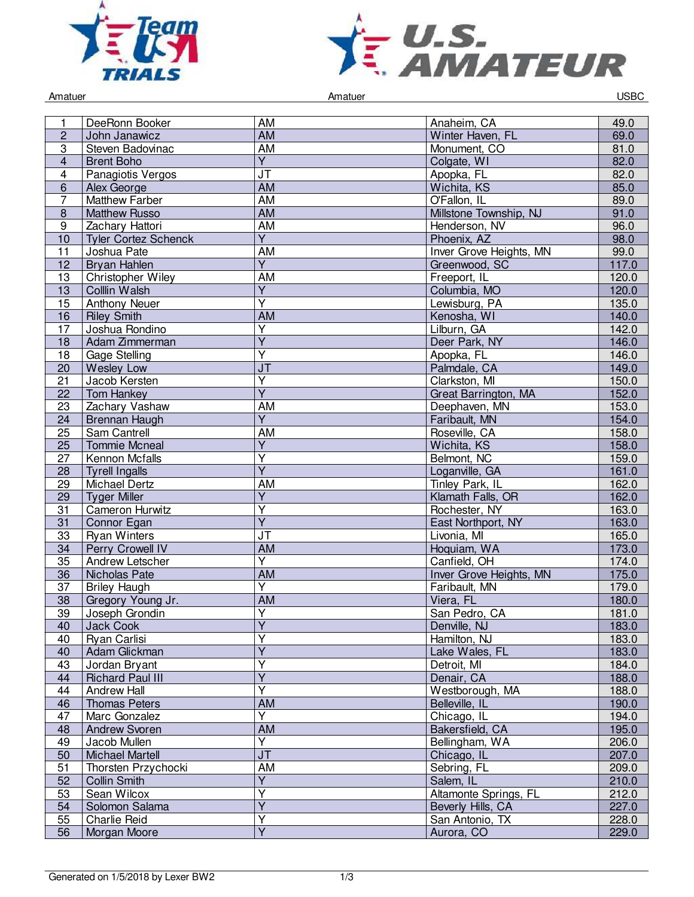



Amatuer Controller Controller Amatuer Amatuer Controller Controller Controller Controller Controller Controller

| 1                       | DeeRonn Booker                         | AM                                   | Anaheim, CA                              | 49.0           |
|-------------------------|----------------------------------------|--------------------------------------|------------------------------------------|----------------|
| $\overline{c}$          | John Janawicz                          | <b>AM</b>                            | Winter Haven, FL                         | 69.0           |
| $\sqrt{3}$              | Steven Badovinac                       | <b>AM</b>                            | Monument, CO                             | 81.0           |
| $\overline{\mathbf{4}}$ | <b>Brent Boho</b>                      | $\overline{Y}$                       | Colgate, WI                              | 82.0           |
| $\overline{\mathbf{4}}$ | Panagiotis Vergos                      | <b>JT</b>                            | Apopka, FL                               | 82.0           |
| $6\phantom{1}$          | Alex George                            | AM                                   | Wichita, KS                              | 85.0           |
| $\overline{7}$          | <b>Matthew Farber</b>                  | <b>AM</b>                            | O'Fallon, IL                             | 89.0           |
| $\bf 8$                 | <b>Matthew Russo</b>                   | <b>AM</b>                            | Millstone Township, NJ                   | 91.0           |
| 9                       | Zachary Hattori                        | <b>AM</b>                            | Henderson, NV                            | 96.0           |
| 10                      | <b>Tyler Cortez Schenck</b>            | $\overline{Y}$                       | Phoenix, AZ                              | 98.0           |
| 11                      | Joshua Pate                            | <b>AM</b>                            | Inver Grove Heights, MN                  | 99.0           |
| 12                      | Bryan Hahlen                           | $\overline{Y}$                       | Greenwood, SC                            | 117.0          |
| 13                      | Christopher Wiley                      | <b>AM</b>                            | Freeport, IL                             | 120.0          |
| 13                      | Colllin Walsh                          | $\overline{Y}$                       | Columbia, MO                             | 120.0          |
| 15                      | <b>Anthony Neuer</b>                   | $\overline{Y}$                       | Lewisburg, PA                            | 135.0          |
| 16                      | <b>Riley Smith</b>                     | $\overline{AM}$                      | Kenosha, WI                              | 140.0          |
| 17                      | Joshua Rondino                         | Y                                    | Lilburn, GA                              | 142.0          |
| 18                      | Adam Zimmerman                         | $\overline{Y}$                       | Deer Park, NY                            | 146.0          |
| 18                      | Gage Stelling                          | $\overline{\mathsf{Y}}$              | Apopka, FL                               | 146.0          |
| 20                      |                                        | J <sub>T</sub>                       |                                          | 149.0          |
| 21                      | Wesley Low<br>Jacob Kersten            | $\overline{\mathsf{Y}}$              | Palmdale, CA<br>Clarkston, MI            | 150.0          |
| 22                      |                                        | $\overline{Y}$                       | Great Barrington, MA                     | 152.0          |
| 23                      | <b>Tom Hankey</b><br>Zachary Vashaw    | AM                                   | Deephaven, MN                            | 153.0          |
| 24                      |                                        | $\overline{Y}$                       | Faribault, MN                            | 154.0          |
|                         | Brennan Haugh                          |                                      |                                          | 158.0          |
| 25                      | Sam Cantrell                           | AM<br>$\overline{Y}$                 | Roseville, CA                            | 158.0          |
| 25                      | <b>Tommie Mcneal</b><br>Kennon Mcfalls | $\overline{\mathsf{Y}}$              | Wichita, KS<br>Belmont, NC               |                |
| 27                      |                                        | $\overline{Y}$                       |                                          | 159.0          |
| 28<br>29                | <b>Tyrell Ingalls</b>                  | <b>AM</b>                            | Loganville, GA<br>Tinley Park, IL        | 161.0<br>162.0 |
|                         | Michael Dertz<br><b>Tyger Miller</b>   | $\overline{Y}$                       | Klamath Falls, OR                        | 162.0          |
| 29<br>31                | Cameron Hurwitz                        | $\overline{\mathsf{Y}}$              | Rochester, NY                            | 163.0          |
| 31                      | Connor Egan                            | $\overline{Y}$                       | East Northport, NY                       | 163.0          |
| 33                      | <b>Ryan Winters</b>                    | <b>JT</b>                            | Livonia, MI                              | 165.0          |
| 34                      | Perry Crowell IV                       | <b>AM</b>                            | Hoquiam, WA                              | 173.0          |
|                         | Andrew Letscher                        | Y                                    | Canfield, OH                             |                |
| 35                      |                                        | <b>AM</b>                            |                                          | 174.0<br>175.0 |
| 36<br>37                | Nicholas Pate                          | $\overline{\mathsf{Y}}$              | Inver Grove Heights, MN<br>Faribault, MN | 179.0          |
|                         | <b>Briley Haugh</b>                    |                                      |                                          |                |
| 38<br>$\overline{39}$   | Gregory Young Jr.                      | <b>AM</b><br>$\overline{\mathsf{Y}}$ | Viera, FL                                | 180.0          |
|                         | Joseph Grondin                         |                                      | San Pedro, CA                            | 181.0          |
| 40                      | Jack Cook                              | Y<br>$\overline{\mathsf{Y}}$         | Denville, NJ                             | 183.0          |
| 40                      | Ryan Carlisi                           | $\overline{Y}$                       | Hamilton, NJ                             | 183.0          |
| 40                      | Adam Glickman                          |                                      | Lake Wales, FL                           | 183.0          |
| 43                      | Jordan Bryant                          | $\overline{Y}$<br>$\overline{Y}$     | Detroit, MI                              | 184.0          |
| 44                      | <b>Richard Paul III</b>                |                                      | Denair, CA                               | 188.0          |
| 44                      | <b>Andrew Hall</b>                     | Υ                                    | Westborough, MA                          | 188.0          |
| 46                      | <b>Thomas Peters</b>                   | <b>AM</b>                            | Belleville, IL                           | 190.0          |
| 47                      | Marc Gonzalez                          | $\overline{Y}$                       | Chicago, IL                              | 194.0          |
| 48                      | <b>Andrew Svoren</b>                   | <b>AM</b>                            | Bakersfield, CA                          | 195.0          |
| 49                      | Jacob Mullen                           | $\overline{Y}$                       | Bellingham, WA                           | 206.0          |
| 50                      | <b>Michael Martell</b>                 | $\overline{\mathsf{J}\mathsf{T}}$    | Chicago, IL                              | 207.0          |
| 51                      | Thorsten Przychocki                    | AM                                   | Sebring, FL                              | 209.0          |
| 52                      | Collin Smith                           | $\overline{Y}$                       | Salem, IL                                | 210.0          |
| 53                      | Sean Wilcox                            | $\overline{\mathsf{Y}}$              | Altamonte Springs, FL                    | 212.0          |
| 54                      | Solomon Salama                         | $\overline{Y}$                       | Beverly Hills, CA                        | 227.0          |
| 55                      | <b>Charlie Reid</b>                    | Y                                    | San Antonio, TX                          | 228.0          |
| 56                      | Morgan Moore                           | $\overline{Y}$                       | Aurora, CO                               | 229.0          |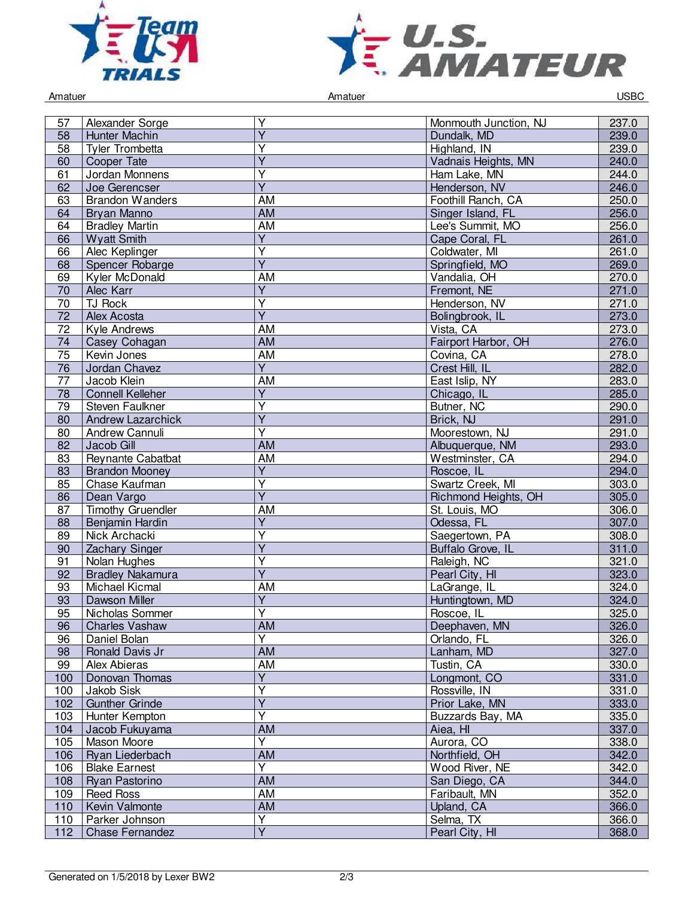



Amatuer Controller Controller Amatuer Amatuer Controller Controller Controller Controller Controller Controller

| Y<br>237.0<br>57<br>Alexander Sorge<br>Monmouth Junction, NJ<br>$\overline{Y}$<br>239.0<br>58<br>Hunter Machin<br>Dundalk, MD<br>Y<br>Highland, IN<br>239.0<br>Tyler Trombetta<br>58<br>$\overline{\mathsf{Y}}$<br>240.0<br>Cooper Tate<br>Vadnais Heights, MN<br>60<br>$\overline{\mathsf{Y}}$<br>Jordan Monnens<br>61<br>Ham Lake, MN<br>244.0<br>$\overline{Y}$<br>246.0<br>62<br>Henderson, NV<br>Joe Gerencser<br>Foothill Ranch, CA<br>250.0<br><b>Brandon Wanders</b><br>AM<br>63<br>256.0<br>Bryan Manno<br><b>AM</b><br>Singer Island, FL<br>64<br>256.0<br><b>Bradley Martin</b><br>AM<br>64<br>Lee's Summit, MO<br>$\overline{Y}$<br>261.0<br>66<br><b>Wyatt Smith</b><br>Cape Coral, FL<br>$\overline{\mathsf{Y}}$<br>66<br>261.0<br>Alec Keplinger<br>Coldwater, MI<br>$\overline{\mathsf{Y}}$<br>269.0<br>Springfield, MO<br>68<br>Spencer Robarge<br>Kyler McDonald<br>AM<br>Vandalia, OH<br>270.0<br>69<br>$\overline{Y}$<br>271.0<br>70<br>Alec Karr<br>Fremont, NE<br>$\overline{Y}$<br>$\overline{70}$<br><b>TJ Rock</b><br>271.0<br>Henderson, NV<br>$\overline{\mathsf{Y}}$<br>273.0<br>$\overline{72}$<br>Alex Acosta<br>Bolingbrook, IL<br>273.0<br>72<br>Kyle Andrews<br>AM<br>Vista, CA<br>276.0<br>Fairport Harbor, OH<br>Casey Cohagan<br><b>AM</b><br>74<br><b>AM</b><br>278.0<br>75<br>Covina, CA<br>Kevin Jones<br>$\overline{Y}$<br>282.0<br>76<br>Crest Hill. IL<br>Jordan Chavez<br>$\overline{77}$<br><b>AM</b><br>Jacob Klein<br>East Islip, NY<br>283.0<br>$\overline{Y}$<br>285.0<br><b>Connell Kelleher</b><br>Chicago, IL<br>78<br>$\overline{\mathsf{Y}}$<br>Butner, NC<br>290.0<br>79<br>Steven Faulkner<br>$\overline{Y}$<br>291.0<br>Brick, NJ<br>80<br><b>Andrew Lazarchick</b><br>$\overline{Y}$<br>291.0<br><b>Andrew Cannuli</b><br>Moorestown, NJ<br>80<br><b>AM</b><br>293.0<br>82<br>Jacob Gill<br>Albuquerque, NM<br>294.0<br>83<br><b>Reynante Cabatbat</b><br>AM<br>Westminster, CA<br>$\overline{Y}$<br><b>Brandon Mooney</b><br>Roscoe, IL<br>294.0<br>83<br>$\overline{\mathsf{Y}}$<br>303.0<br>85<br>Swartz Creek, MI<br>Chase Kaufman<br>$\overline{\mathsf{Y}}$<br>305.0<br>Dean Vargo<br>86<br>Richmond Heights, OH<br><b>AM</b><br>87<br><b>Timothy Gruendler</b><br>306.0<br>St. Louis, MO<br>$\overline{\mathsf{Y}}$<br>307.0<br>Odessa, FL<br>88<br>Benjamin Hardin<br>$\overline{Y}$<br>308.0<br>Nick Archacki<br>89<br>Saegertown, PA<br>$\overline{Y}$<br>311.0<br>90<br>Zachary Singer<br>Buffalo Grove, IL<br>Y<br>91<br>Nolan Hughes<br>Raleigh, NC<br>321.0 |
|------------------------------------------------------------------------------------------------------------------------------------------------------------------------------------------------------------------------------------------------------------------------------------------------------------------------------------------------------------------------------------------------------------------------------------------------------------------------------------------------------------------------------------------------------------------------------------------------------------------------------------------------------------------------------------------------------------------------------------------------------------------------------------------------------------------------------------------------------------------------------------------------------------------------------------------------------------------------------------------------------------------------------------------------------------------------------------------------------------------------------------------------------------------------------------------------------------------------------------------------------------------------------------------------------------------------------------------------------------------------------------------------------------------------------------------------------------------------------------------------------------------------------------------------------------------------------------------------------------------------------------------------------------------------------------------------------------------------------------------------------------------------------------------------------------------------------------------------------------------------------------------------------------------------------------------------------------------------------------------------------------------------------------------------------------------------------------------------------------------------------------------------------------------------------------------------------------------------------------------------------------------------------------------------------------------------------------------------------------------------------------------------------------------------------------------------------------------------------------------------------------------------------------|
|                                                                                                                                                                                                                                                                                                                                                                                                                                                                                                                                                                                                                                                                                                                                                                                                                                                                                                                                                                                                                                                                                                                                                                                                                                                                                                                                                                                                                                                                                                                                                                                                                                                                                                                                                                                                                                                                                                                                                                                                                                                                                                                                                                                                                                                                                                                                                                                                                                                                                                                                    |
|                                                                                                                                                                                                                                                                                                                                                                                                                                                                                                                                                                                                                                                                                                                                                                                                                                                                                                                                                                                                                                                                                                                                                                                                                                                                                                                                                                                                                                                                                                                                                                                                                                                                                                                                                                                                                                                                                                                                                                                                                                                                                                                                                                                                                                                                                                                                                                                                                                                                                                                                    |
|                                                                                                                                                                                                                                                                                                                                                                                                                                                                                                                                                                                                                                                                                                                                                                                                                                                                                                                                                                                                                                                                                                                                                                                                                                                                                                                                                                                                                                                                                                                                                                                                                                                                                                                                                                                                                                                                                                                                                                                                                                                                                                                                                                                                                                                                                                                                                                                                                                                                                                                                    |
|                                                                                                                                                                                                                                                                                                                                                                                                                                                                                                                                                                                                                                                                                                                                                                                                                                                                                                                                                                                                                                                                                                                                                                                                                                                                                                                                                                                                                                                                                                                                                                                                                                                                                                                                                                                                                                                                                                                                                                                                                                                                                                                                                                                                                                                                                                                                                                                                                                                                                                                                    |
|                                                                                                                                                                                                                                                                                                                                                                                                                                                                                                                                                                                                                                                                                                                                                                                                                                                                                                                                                                                                                                                                                                                                                                                                                                                                                                                                                                                                                                                                                                                                                                                                                                                                                                                                                                                                                                                                                                                                                                                                                                                                                                                                                                                                                                                                                                                                                                                                                                                                                                                                    |
|                                                                                                                                                                                                                                                                                                                                                                                                                                                                                                                                                                                                                                                                                                                                                                                                                                                                                                                                                                                                                                                                                                                                                                                                                                                                                                                                                                                                                                                                                                                                                                                                                                                                                                                                                                                                                                                                                                                                                                                                                                                                                                                                                                                                                                                                                                                                                                                                                                                                                                                                    |
|                                                                                                                                                                                                                                                                                                                                                                                                                                                                                                                                                                                                                                                                                                                                                                                                                                                                                                                                                                                                                                                                                                                                                                                                                                                                                                                                                                                                                                                                                                                                                                                                                                                                                                                                                                                                                                                                                                                                                                                                                                                                                                                                                                                                                                                                                                                                                                                                                                                                                                                                    |
|                                                                                                                                                                                                                                                                                                                                                                                                                                                                                                                                                                                                                                                                                                                                                                                                                                                                                                                                                                                                                                                                                                                                                                                                                                                                                                                                                                                                                                                                                                                                                                                                                                                                                                                                                                                                                                                                                                                                                                                                                                                                                                                                                                                                                                                                                                                                                                                                                                                                                                                                    |
|                                                                                                                                                                                                                                                                                                                                                                                                                                                                                                                                                                                                                                                                                                                                                                                                                                                                                                                                                                                                                                                                                                                                                                                                                                                                                                                                                                                                                                                                                                                                                                                                                                                                                                                                                                                                                                                                                                                                                                                                                                                                                                                                                                                                                                                                                                                                                                                                                                                                                                                                    |
|                                                                                                                                                                                                                                                                                                                                                                                                                                                                                                                                                                                                                                                                                                                                                                                                                                                                                                                                                                                                                                                                                                                                                                                                                                                                                                                                                                                                                                                                                                                                                                                                                                                                                                                                                                                                                                                                                                                                                                                                                                                                                                                                                                                                                                                                                                                                                                                                                                                                                                                                    |
|                                                                                                                                                                                                                                                                                                                                                                                                                                                                                                                                                                                                                                                                                                                                                                                                                                                                                                                                                                                                                                                                                                                                                                                                                                                                                                                                                                                                                                                                                                                                                                                                                                                                                                                                                                                                                                                                                                                                                                                                                                                                                                                                                                                                                                                                                                                                                                                                                                                                                                                                    |
|                                                                                                                                                                                                                                                                                                                                                                                                                                                                                                                                                                                                                                                                                                                                                                                                                                                                                                                                                                                                                                                                                                                                                                                                                                                                                                                                                                                                                                                                                                                                                                                                                                                                                                                                                                                                                                                                                                                                                                                                                                                                                                                                                                                                                                                                                                                                                                                                                                                                                                                                    |
|                                                                                                                                                                                                                                                                                                                                                                                                                                                                                                                                                                                                                                                                                                                                                                                                                                                                                                                                                                                                                                                                                                                                                                                                                                                                                                                                                                                                                                                                                                                                                                                                                                                                                                                                                                                                                                                                                                                                                                                                                                                                                                                                                                                                                                                                                                                                                                                                                                                                                                                                    |
|                                                                                                                                                                                                                                                                                                                                                                                                                                                                                                                                                                                                                                                                                                                                                                                                                                                                                                                                                                                                                                                                                                                                                                                                                                                                                                                                                                                                                                                                                                                                                                                                                                                                                                                                                                                                                                                                                                                                                                                                                                                                                                                                                                                                                                                                                                                                                                                                                                                                                                                                    |
|                                                                                                                                                                                                                                                                                                                                                                                                                                                                                                                                                                                                                                                                                                                                                                                                                                                                                                                                                                                                                                                                                                                                                                                                                                                                                                                                                                                                                                                                                                                                                                                                                                                                                                                                                                                                                                                                                                                                                                                                                                                                                                                                                                                                                                                                                                                                                                                                                                                                                                                                    |
|                                                                                                                                                                                                                                                                                                                                                                                                                                                                                                                                                                                                                                                                                                                                                                                                                                                                                                                                                                                                                                                                                                                                                                                                                                                                                                                                                                                                                                                                                                                                                                                                                                                                                                                                                                                                                                                                                                                                                                                                                                                                                                                                                                                                                                                                                                                                                                                                                                                                                                                                    |
|                                                                                                                                                                                                                                                                                                                                                                                                                                                                                                                                                                                                                                                                                                                                                                                                                                                                                                                                                                                                                                                                                                                                                                                                                                                                                                                                                                                                                                                                                                                                                                                                                                                                                                                                                                                                                                                                                                                                                                                                                                                                                                                                                                                                                                                                                                                                                                                                                                                                                                                                    |
|                                                                                                                                                                                                                                                                                                                                                                                                                                                                                                                                                                                                                                                                                                                                                                                                                                                                                                                                                                                                                                                                                                                                                                                                                                                                                                                                                                                                                                                                                                                                                                                                                                                                                                                                                                                                                                                                                                                                                                                                                                                                                                                                                                                                                                                                                                                                                                                                                                                                                                                                    |
|                                                                                                                                                                                                                                                                                                                                                                                                                                                                                                                                                                                                                                                                                                                                                                                                                                                                                                                                                                                                                                                                                                                                                                                                                                                                                                                                                                                                                                                                                                                                                                                                                                                                                                                                                                                                                                                                                                                                                                                                                                                                                                                                                                                                                                                                                                                                                                                                                                                                                                                                    |
|                                                                                                                                                                                                                                                                                                                                                                                                                                                                                                                                                                                                                                                                                                                                                                                                                                                                                                                                                                                                                                                                                                                                                                                                                                                                                                                                                                                                                                                                                                                                                                                                                                                                                                                                                                                                                                                                                                                                                                                                                                                                                                                                                                                                                                                                                                                                                                                                                                                                                                                                    |
|                                                                                                                                                                                                                                                                                                                                                                                                                                                                                                                                                                                                                                                                                                                                                                                                                                                                                                                                                                                                                                                                                                                                                                                                                                                                                                                                                                                                                                                                                                                                                                                                                                                                                                                                                                                                                                                                                                                                                                                                                                                                                                                                                                                                                                                                                                                                                                                                                                                                                                                                    |
|                                                                                                                                                                                                                                                                                                                                                                                                                                                                                                                                                                                                                                                                                                                                                                                                                                                                                                                                                                                                                                                                                                                                                                                                                                                                                                                                                                                                                                                                                                                                                                                                                                                                                                                                                                                                                                                                                                                                                                                                                                                                                                                                                                                                                                                                                                                                                                                                                                                                                                                                    |
|                                                                                                                                                                                                                                                                                                                                                                                                                                                                                                                                                                                                                                                                                                                                                                                                                                                                                                                                                                                                                                                                                                                                                                                                                                                                                                                                                                                                                                                                                                                                                                                                                                                                                                                                                                                                                                                                                                                                                                                                                                                                                                                                                                                                                                                                                                                                                                                                                                                                                                                                    |
|                                                                                                                                                                                                                                                                                                                                                                                                                                                                                                                                                                                                                                                                                                                                                                                                                                                                                                                                                                                                                                                                                                                                                                                                                                                                                                                                                                                                                                                                                                                                                                                                                                                                                                                                                                                                                                                                                                                                                                                                                                                                                                                                                                                                                                                                                                                                                                                                                                                                                                                                    |
|                                                                                                                                                                                                                                                                                                                                                                                                                                                                                                                                                                                                                                                                                                                                                                                                                                                                                                                                                                                                                                                                                                                                                                                                                                                                                                                                                                                                                                                                                                                                                                                                                                                                                                                                                                                                                                                                                                                                                                                                                                                                                                                                                                                                                                                                                                                                                                                                                                                                                                                                    |
|                                                                                                                                                                                                                                                                                                                                                                                                                                                                                                                                                                                                                                                                                                                                                                                                                                                                                                                                                                                                                                                                                                                                                                                                                                                                                                                                                                                                                                                                                                                                                                                                                                                                                                                                                                                                                                                                                                                                                                                                                                                                                                                                                                                                                                                                                                                                                                                                                                                                                                                                    |
|                                                                                                                                                                                                                                                                                                                                                                                                                                                                                                                                                                                                                                                                                                                                                                                                                                                                                                                                                                                                                                                                                                                                                                                                                                                                                                                                                                                                                                                                                                                                                                                                                                                                                                                                                                                                                                                                                                                                                                                                                                                                                                                                                                                                                                                                                                                                                                                                                                                                                                                                    |
|                                                                                                                                                                                                                                                                                                                                                                                                                                                                                                                                                                                                                                                                                                                                                                                                                                                                                                                                                                                                                                                                                                                                                                                                                                                                                                                                                                                                                                                                                                                                                                                                                                                                                                                                                                                                                                                                                                                                                                                                                                                                                                                                                                                                                                                                                                                                                                                                                                                                                                                                    |
|                                                                                                                                                                                                                                                                                                                                                                                                                                                                                                                                                                                                                                                                                                                                                                                                                                                                                                                                                                                                                                                                                                                                                                                                                                                                                                                                                                                                                                                                                                                                                                                                                                                                                                                                                                                                                                                                                                                                                                                                                                                                                                                                                                                                                                                                                                                                                                                                                                                                                                                                    |
|                                                                                                                                                                                                                                                                                                                                                                                                                                                                                                                                                                                                                                                                                                                                                                                                                                                                                                                                                                                                                                                                                                                                                                                                                                                                                                                                                                                                                                                                                                                                                                                                                                                                                                                                                                                                                                                                                                                                                                                                                                                                                                                                                                                                                                                                                                                                                                                                                                                                                                                                    |
|                                                                                                                                                                                                                                                                                                                                                                                                                                                                                                                                                                                                                                                                                                                                                                                                                                                                                                                                                                                                                                                                                                                                                                                                                                                                                                                                                                                                                                                                                                                                                                                                                                                                                                                                                                                                                                                                                                                                                                                                                                                                                                                                                                                                                                                                                                                                                                                                                                                                                                                                    |
|                                                                                                                                                                                                                                                                                                                                                                                                                                                                                                                                                                                                                                                                                                                                                                                                                                                                                                                                                                                                                                                                                                                                                                                                                                                                                                                                                                                                                                                                                                                                                                                                                                                                                                                                                                                                                                                                                                                                                                                                                                                                                                                                                                                                                                                                                                                                                                                                                                                                                                                                    |
|                                                                                                                                                                                                                                                                                                                                                                                                                                                                                                                                                                                                                                                                                                                                                                                                                                                                                                                                                                                                                                                                                                                                                                                                                                                                                                                                                                                                                                                                                                                                                                                                                                                                                                                                                                                                                                                                                                                                                                                                                                                                                                                                                                                                                                                                                                                                                                                                                                                                                                                                    |
|                                                                                                                                                                                                                                                                                                                                                                                                                                                                                                                                                                                                                                                                                                                                                                                                                                                                                                                                                                                                                                                                                                                                                                                                                                                                                                                                                                                                                                                                                                                                                                                                                                                                                                                                                                                                                                                                                                                                                                                                                                                                                                                                                                                                                                                                                                                                                                                                                                                                                                                                    |
| $\overline{\mathsf{Y}}$<br>323.0<br>92<br><b>Bradley Nakamura</b><br>Pearl City, HI                                                                                                                                                                                                                                                                                                                                                                                                                                                                                                                                                                                                                                                                                                                                                                                                                                                                                                                                                                                                                                                                                                                                                                                                                                                                                                                                                                                                                                                                                                                                                                                                                                                                                                                                                                                                                                                                                                                                                                                                                                                                                                                                                                                                                                                                                                                                                                                                                                                |
| Michael Kicmal<br>AM<br>LaGrange, IL<br>324.0<br>93                                                                                                                                                                                                                                                                                                                                                                                                                                                                                                                                                                                                                                                                                                                                                                                                                                                                                                                                                                                                                                                                                                                                                                                                                                                                                                                                                                                                                                                                                                                                                                                                                                                                                                                                                                                                                                                                                                                                                                                                                                                                                                                                                                                                                                                                                                                                                                                                                                                                                |
| Ÿ<br>93<br>Dawson Miller<br>Huntingtown, MD<br>324.0                                                                                                                                                                                                                                                                                                                                                                                                                                                                                                                                                                                                                                                                                                                                                                                                                                                                                                                                                                                                                                                                                                                                                                                                                                                                                                                                                                                                                                                                                                                                                                                                                                                                                                                                                                                                                                                                                                                                                                                                                                                                                                                                                                                                                                                                                                                                                                                                                                                                               |
| $\overline{\mathsf{Y}}$<br>325.0<br>95<br>Nicholas Sommer<br>Roscoe, IL                                                                                                                                                                                                                                                                                                                                                                                                                                                                                                                                                                                                                                                                                                                                                                                                                                                                                                                                                                                                                                                                                                                                                                                                                                                                                                                                                                                                                                                                                                                                                                                                                                                                                                                                                                                                                                                                                                                                                                                                                                                                                                                                                                                                                                                                                                                                                                                                                                                            |
| AM<br>Deephaven, MN<br>326.0<br>96<br><b>Charles Vashaw</b>                                                                                                                                                                                                                                                                                                                                                                                                                                                                                                                                                                                                                                                                                                                                                                                                                                                                                                                                                                                                                                                                                                                                                                                                                                                                                                                                                                                                                                                                                                                                                                                                                                                                                                                                                                                                                                                                                                                                                                                                                                                                                                                                                                                                                                                                                                                                                                                                                                                                        |
| $\overline{Y}$<br>96<br>Orlando, FL<br>326.0<br>Daniel Bolan                                                                                                                                                                                                                                                                                                                                                                                                                                                                                                                                                                                                                                                                                                                                                                                                                                                                                                                                                                                                                                                                                                                                                                                                                                                                                                                                                                                                                                                                                                                                                                                                                                                                                                                                                                                                                                                                                                                                                                                                                                                                                                                                                                                                                                                                                                                                                                                                                                                                       |
| <b>AM</b><br>327.0<br>98<br>Ronald Davis Jr<br>Lanham, MD                                                                                                                                                                                                                                                                                                                                                                                                                                                                                                                                                                                                                                                                                                                                                                                                                                                                                                                                                                                                                                                                                                                                                                                                                                                                                                                                                                                                                                                                                                                                                                                                                                                                                                                                                                                                                                                                                                                                                                                                                                                                                                                                                                                                                                                                                                                                                                                                                                                                          |
| AM<br>330.0<br>99<br>Alex Abieras<br>Tustin, CA                                                                                                                                                                                                                                                                                                                                                                                                                                                                                                                                                                                                                                                                                                                                                                                                                                                                                                                                                                                                                                                                                                                                                                                                                                                                                                                                                                                                                                                                                                                                                                                                                                                                                                                                                                                                                                                                                                                                                                                                                                                                                                                                                                                                                                                                                                                                                                                                                                                                                    |
| $\overline{Y}$<br>331.0<br>100<br>Donovan Thomas<br>Longmont, CO                                                                                                                                                                                                                                                                                                                                                                                                                                                                                                                                                                                                                                                                                                                                                                                                                                                                                                                                                                                                                                                                                                                                                                                                                                                                                                                                                                                                                                                                                                                                                                                                                                                                                                                                                                                                                                                                                                                                                                                                                                                                                                                                                                                                                                                                                                                                                                                                                                                                   |
| Y<br>Rossville, IN<br>100<br>Jakob Sisk<br>331.0                                                                                                                                                                                                                                                                                                                                                                                                                                                                                                                                                                                                                                                                                                                                                                                                                                                                                                                                                                                                                                                                                                                                                                                                                                                                                                                                                                                                                                                                                                                                                                                                                                                                                                                                                                                                                                                                                                                                                                                                                                                                                                                                                                                                                                                                                                                                                                                                                                                                                   |
| $\overline{Y}$<br>333.0<br>102<br><b>Gunther Grinde</b><br>Prior Lake, MN                                                                                                                                                                                                                                                                                                                                                                                                                                                                                                                                                                                                                                                                                                                                                                                                                                                                                                                                                                                                                                                                                                                                                                                                                                                                                                                                                                                                                                                                                                                                                                                                                                                                                                                                                                                                                                                                                                                                                                                                                                                                                                                                                                                                                                                                                                                                                                                                                                                          |
| Υ<br>103<br>Hunter Kempton<br>Buzzards Bay, MA<br>335.0                                                                                                                                                                                                                                                                                                                                                                                                                                                                                                                                                                                                                                                                                                                                                                                                                                                                                                                                                                                                                                                                                                                                                                                                                                                                                                                                                                                                                                                                                                                                                                                                                                                                                                                                                                                                                                                                                                                                                                                                                                                                                                                                                                                                                                                                                                                                                                                                                                                                            |
| <b>AM</b><br>337.0<br>Aiea, HI<br>104<br>Jacob Fukuyama                                                                                                                                                                                                                                                                                                                                                                                                                                                                                                                                                                                                                                                                                                                                                                                                                                                                                                                                                                                                                                                                                                                                                                                                                                                                                                                                                                                                                                                                                                                                                                                                                                                                                                                                                                                                                                                                                                                                                                                                                                                                                                                                                                                                                                                                                                                                                                                                                                                                            |
| $\overline{Y}$<br>338.0<br>105<br>Mason Moore<br>Aurora, CO                                                                                                                                                                                                                                                                                                                                                                                                                                                                                                                                                                                                                                                                                                                                                                                                                                                                                                                                                                                                                                                                                                                                                                                                                                                                                                                                                                                                                                                                                                                                                                                                                                                                                                                                                                                                                                                                                                                                                                                                                                                                                                                                                                                                                                                                                                                                                                                                                                                                        |
| <b>AM</b><br>Northfield, OH<br>342.0<br>106<br>Ryan Liederbach                                                                                                                                                                                                                                                                                                                                                                                                                                                                                                                                                                                                                                                                                                                                                                                                                                                                                                                                                                                                                                                                                                                                                                                                                                                                                                                                                                                                                                                                                                                                                                                                                                                                                                                                                                                                                                                                                                                                                                                                                                                                                                                                                                                                                                                                                                                                                                                                                                                                     |
| Y<br>342.0<br>106<br><b>Blake Earnest</b><br>Wood River, NE                                                                                                                                                                                                                                                                                                                                                                                                                                                                                                                                                                                                                                                                                                                                                                                                                                                                                                                                                                                                                                                                                                                                                                                                                                                                                                                                                                                                                                                                                                                                                                                                                                                                                                                                                                                                                                                                                                                                                                                                                                                                                                                                                                                                                                                                                                                                                                                                                                                                        |
| <b>AM</b><br>344.0<br>San Diego, CA<br>108<br>Ryan Pastorino                                                                                                                                                                                                                                                                                                                                                                                                                                                                                                                                                                                                                                                                                                                                                                                                                                                                                                                                                                                                                                                                                                                                                                                                                                                                                                                                                                                                                                                                                                                                                                                                                                                                                                                                                                                                                                                                                                                                                                                                                                                                                                                                                                                                                                                                                                                                                                                                                                                                       |
| AM<br>352.0<br>Faribault, MN<br>109<br>Reed Ross                                                                                                                                                                                                                                                                                                                                                                                                                                                                                                                                                                                                                                                                                                                                                                                                                                                                                                                                                                                                                                                                                                                                                                                                                                                                                                                                                                                                                                                                                                                                                                                                                                                                                                                                                                                                                                                                                                                                                                                                                                                                                                                                                                                                                                                                                                                                                                                                                                                                                   |
| AM<br>366.0<br>110<br>Kevin Valmonte<br>Upland, CA                                                                                                                                                                                                                                                                                                                                                                                                                                                                                                                                                                                                                                                                                                                                                                                                                                                                                                                                                                                                                                                                                                                                                                                                                                                                                                                                                                                                                                                                                                                                                                                                                                                                                                                                                                                                                                                                                                                                                                                                                                                                                                                                                                                                                                                                                                                                                                                                                                                                                 |
| $\overline{Y}$<br>Selma, TX<br>366.0<br>110<br>Parker Johnson                                                                                                                                                                                                                                                                                                                                                                                                                                                                                                                                                                                                                                                                                                                                                                                                                                                                                                                                                                                                                                                                                                                                                                                                                                                                                                                                                                                                                                                                                                                                                                                                                                                                                                                                                                                                                                                                                                                                                                                                                                                                                                                                                                                                                                                                                                                                                                                                                                                                      |
| $\overline{Y}$<br>112<br><b>Chase Fernandez</b><br>Pearl City, HI<br>368.0                                                                                                                                                                                                                                                                                                                                                                                                                                                                                                                                                                                                                                                                                                                                                                                                                                                                                                                                                                                                                                                                                                                                                                                                                                                                                                                                                                                                                                                                                                                                                                                                                                                                                                                                                                                                                                                                                                                                                                                                                                                                                                                                                                                                                                                                                                                                                                                                                                                         |